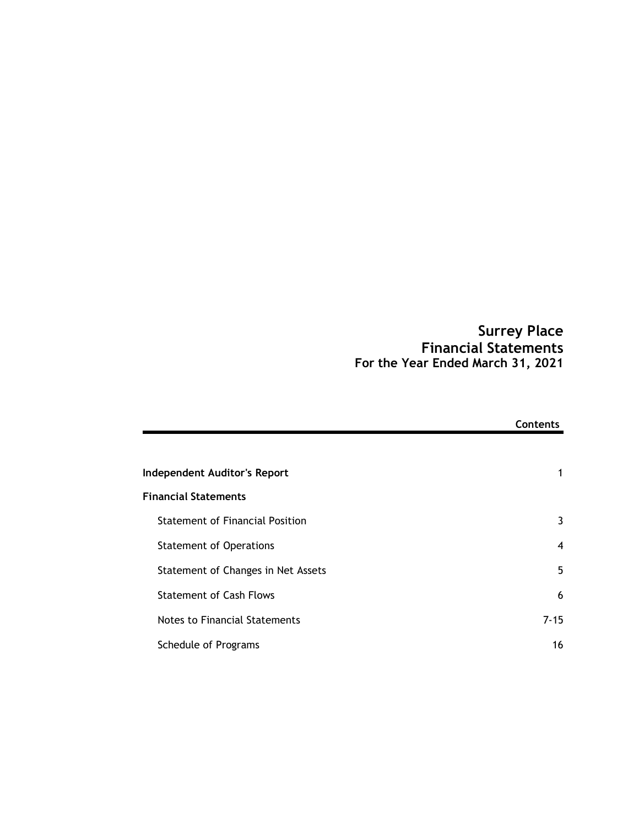# Surrey Place Financial Statements For the Year Ended March 31, 2021

|                                        | <b>Financial Statements</b><br>For the Year Ended March 31, 2021 |
|----------------------------------------|------------------------------------------------------------------|
|                                        | Contents                                                         |
| Independent Auditor's Report           | 1                                                                |
| <b>Financial Statements</b>            |                                                                  |
| <b>Statement of Financial Position</b> | 3                                                                |
| <b>Statement of Operations</b>         | 4                                                                |
| Statement of Changes in Net Assets     | 5                                                                |
| <b>Statement of Cash Flows</b>         | 6                                                                |
| Notes to Financial Statements          | $7 - 15$                                                         |
| Schedule of Programs                   | 16                                                               |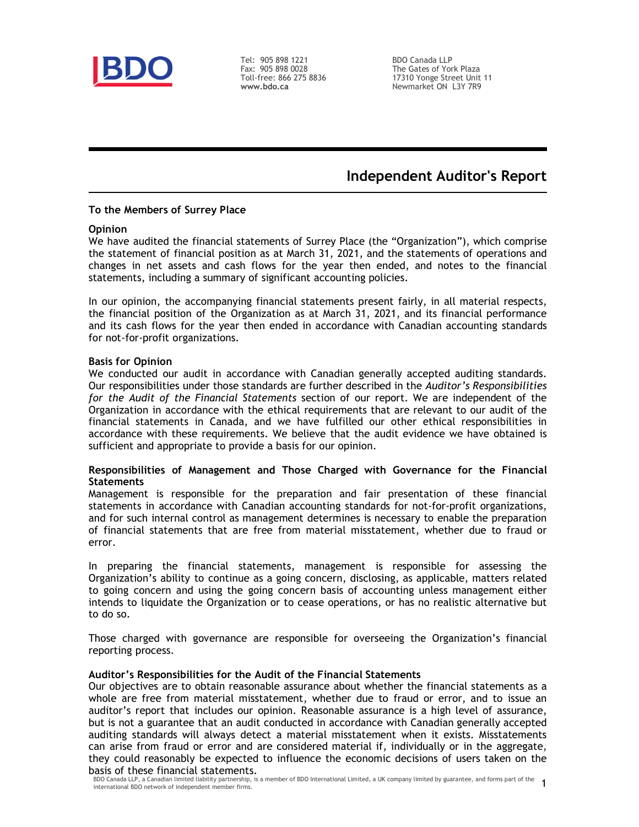

Tel: 905 898 1221 Fax: 905 898 0028<br>Toll-free: 866 275 8836 www.bdo.ca

Toll-free: 866 275 8836 17310 Yonge Street Unit 11 BDO Canada LLP The Gates of York Plaza Newmarket ON L3Y 7R9

# Independent Auditor's Report

#### To the Members of Surrey Place

#### **Opinion**

We have audited the financial statements of Surrey Place (the "Organization"), which comprise the statement of financial position as at March 31, 2021, and the statements of operations and **Changes in the changes in the set assets and cash flows for the case and the change of the set and the set and the performance of the set and the set and the set and the set and the set and notes to the set and the statem** statements, including a summary of significant accounting policies.

In our opinion, the accompanying financial statements present fairly, in all material respects, the financial position of the Organization as at March 31, 2021, and its financial performance and its cash flows for the year then ended in accordance with Canadian accounting standards for not-for-profit organizations.

#### Basis for Opinion

We conducted our audit in accordance with Canadian generally accepted auditing standards. Our responsibilities under those standards are further described in the Auditor's Responsibilities for the Audit of the Financial Statements section of our report. We are independent of the Organization in accordance with the ethical requirements that are relevant to our audit of the financial statements in Canada, and we have fulfilled our other ethical responsibilities in accordance with these requirements. We believe that the audit evidence we have obtained is sufficient and appropriate to provide a basis for our opinion.

#### Responsibilities of Management and Those Charged with Governance for the Financial **Statements**

Management is responsible for the preparation and fair presentation of these financial statements in accordance with Canadian accounting standards for not-for-profit organizations, and for such internal control as management determines is necessary to enable the preparation of financial statements that are free from material misstatement, whether due to fraud or error.

In preparing the financial statements, management is responsible for assessing the Organization's ability to continue as a going concern, disclosing, as applicable, matters related to going concern and using the going concern basis of accounting unless management either intends to liquidate the Organization or to cease operations, or has no realistic alternative but to do so.

Those charged with governance are responsible for overseeing the Organization's financial reporting process.

#### Auditor's Responsibilities for the Audit of the Financial Statements

Our objectives are to obtain reasonable assurance about whether the financial statements as a whole are free from material misstatement, whether due to fraud or error, and to issue an auditor's report that includes our opinion. Reasonable assurance is a high level of assurance, but is not a guarantee that an audit conducted in accordance with Canadian generally accepted auditing standards will always detect a material misstatement when it exists. Misstatements can arise from fraud or error and are considered material if, individually or in the aggregate, they could reasonably be expected to influence the economic decisions of users taken on the basis of these financial statements.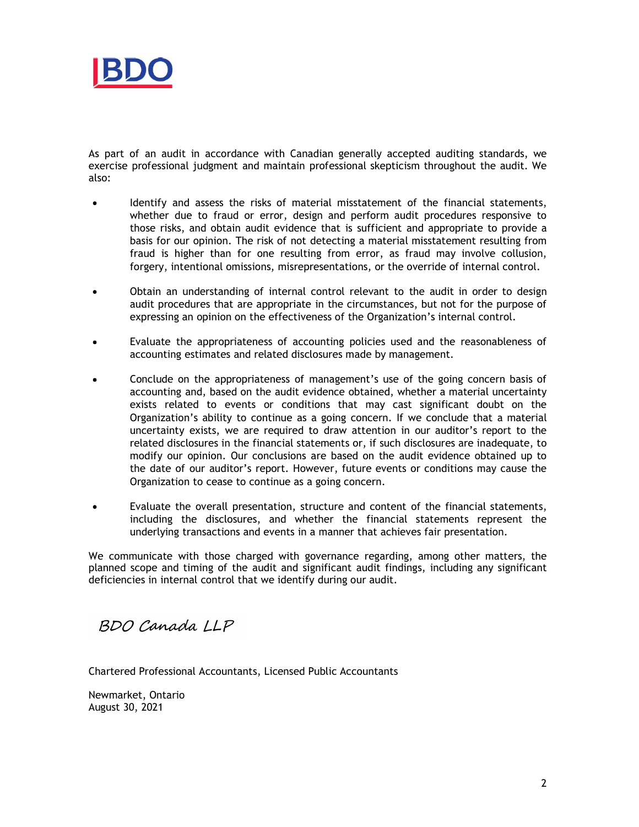

As part of an audit in accordance with Canadian generally accepted auditing standards, we exercise professional judgment and maintain professional skepticism throughout the audit. We also:

- Identify and assess the risks of material misstatement of the financial statements, whether due to fraud or error, design and perform audit procedures responsive to those risks, and obtain audit evidence that is sufficient and appropriate to provide a basis for our opinion. The risk of not detecting a material misstatement resulting from fraud is higher than for one resulting from error, as fraud may involve collusion, forgery, intentional omissions, misrepresentations, or the override of internal control.
- Obtain an understanding of internal control relevant to the audit in order to design audit procedures that are appropriate in the circumstances, but not for the purpose of expressing an opinion on the effectiveness of the Organization's internal control.
- Evaluate the appropriateness of accounting policies used and the reasonableness of accounting estimates and related disclosures made by management.
- Conclude on the appropriateness of management's use of the going concern basis of accounting and, based on the audit evidence obtained, whether a material uncertainty exists related to events or conditions that may cast significant doubt on the Organization's ability to continue as a going concern. If we conclude that a material uncertainty exists, we are required to draw attention in our auditor's report to the related disclosures in the financial statements or, if such disclosures are inadequate, to modify our opinion. Our conclusions are based on the audit evidence obtained up to the date of our auditor's report. However, future events or conditions may cause the Organization to cease to continue as a going concern.
- Evaluate the overall presentation, structure and content of the financial statements, including the disclosures, and whether the financial statements represent the underlying transactions and events in a manner that achieves fair presentation.

We communicate with those charged with governance regarding, among other matters, the planned scope and timing of the audit and significant audit findings, including any significant deficiencies in internal control that we identify during our audit.

BDO Canada LLP

Chartered Professional Accountants, Licensed Public Accountants

Newmarket, Ontario August 30, 2021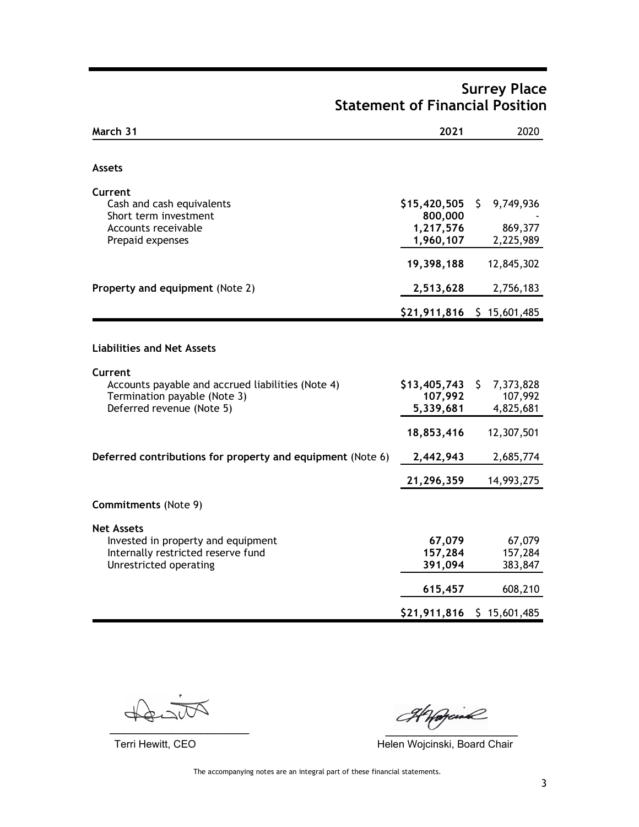| March 31                                                      | 2021                    | 2020                      |
|---------------------------------------------------------------|-------------------------|---------------------------|
| <b>Assets</b>                                                 |                         |                           |
|                                                               |                         |                           |
| Current<br>Cash and cash equivalents<br>Short term investment | \$15,420,505<br>800,000 | 9,749,936<br>\$           |
| Accounts receivable<br>Prepaid expenses                       | 1,217,576<br>1,960,107  | 869,377<br>2,225,989      |
|                                                               | 19,398,188              | 12,845,302                |
| Property and equipment (Note 2)                               | 2,513,628               | 2,756,183                 |
|                                                               |                         | \$21,911,816 \$15,601,485 |
|                                                               |                         |                           |
| <b>Liabilities and Net Assets</b>                             |                         |                           |
| Current<br>Accounts payable and accrued liabilities (Note 4)  | $$13,405,743$ \$        | 7,373,828                 |
| Termination payable (Note 3)<br>Deferred revenue (Note 5)     | 107,992<br>5,339,681    | 107,992<br>4,825,681      |
|                                                               | 18,853,416              | 12,307,501                |
| Deferred contributions for property and equipment (Note 6)    | 2,442,943               | 2,685,774                 |
|                                                               | 21,296,359              | 14,993,275                |
| <b>Commitments (Note 9)</b>                                   |                         |                           |
| <b>Net Assets</b>                                             |                         |                           |
| Invested in property and equipment                            | 67,079                  | 67,079                    |
| Internally restricted reserve fund<br>Unrestricted operating  | 157,284<br>391,094      | 157,284<br>383,847        |
|                                                               | 615,457                 | 608,210                   |
|                                                               | \$21,911,816            | \$15,601,485              |

# Surrey Place Statement of Financial Position

Howard

 $\overline{\phantom{a}}$  ,  $\overline{\phantom{a}}$  ,  $\overline{\phantom{a}}$  ,  $\overline{\phantom{a}}$  ,  $\overline{\phantom{a}}$  ,  $\overline{\phantom{a}}$  ,  $\overline{\phantom{a}}$  ,  $\overline{\phantom{a}}$  ,  $\overline{\phantom{a}}$  ,  $\overline{\phantom{a}}$  ,  $\overline{\phantom{a}}$  ,  $\overline{\phantom{a}}$  ,  $\overline{\phantom{a}}$  ,  $\overline{\phantom{a}}$  ,  $\overline{\phantom{a}}$  ,  $\overline{\phantom{a}}$ 

Terri Hewitt, CEO **Helen Wojcinski, Board Chair** 

The accompanying notes are an integral part of these financial statements.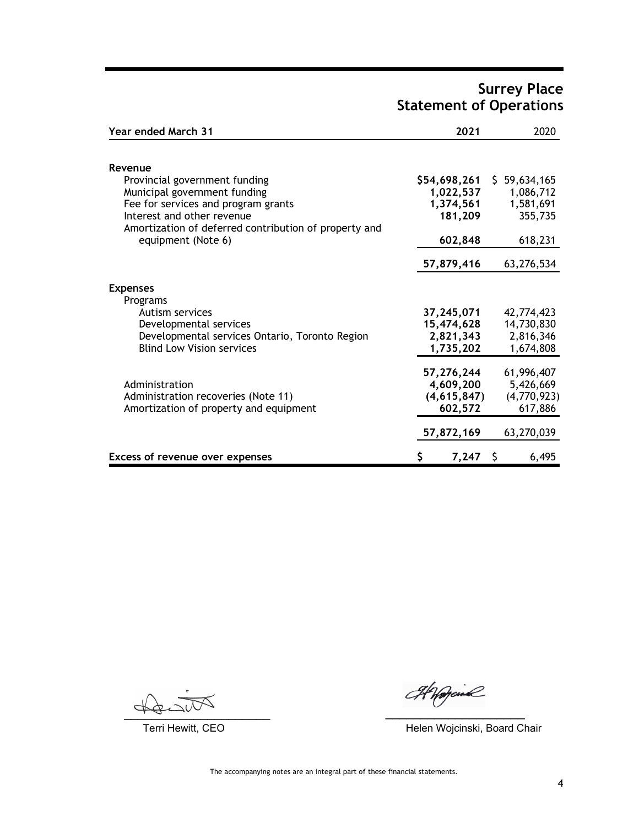### Surrey Place Statement of Operations

| <b>Year ended March 31</b>                            | 2021         | 2020         |
|-------------------------------------------------------|--------------|--------------|
| Revenue                                               |              |              |
| Provincial government funding                         | \$54,698,261 | \$59,634,165 |
| Municipal government funding                          | 1,022,537    | 1,086,712    |
| Fee for services and program grants                   | 1,374,561    | 1,581,691    |
| Interest and other revenue                            | 181,209      | 355,735      |
| Amortization of deferred contribution of property and |              |              |
| equipment (Note 6)                                    | 602,848      | 618,231      |
|                                                       | 57,879,416   | 63,276,534   |
| <b>Expenses</b>                                       |              |              |
| Programs                                              |              |              |
| Autism services                                       | 37,245,071   | 42,774,423   |
| Developmental services                                | 15,474,628   | 14,730,830   |
| Developmental services Ontario, Toronto Region        | 2,821,343    | 2,816,346    |
| <b>Blind Low Vision services</b>                      | 1,735,202    | 1,674,808    |
|                                                       | 57,276,244   | 61,996,407   |
| Administration                                        | 4,609,200    | 5,426,669    |
| Administration recoveries (Note 11)                   | (4,615,847)  | (4,770,923)  |
| Amortization of property and equipment                | 602,572      | 617,886      |
|                                                       | 57,872,169   | 63,270,039   |
| Excess of revenue over expenses                       | 7,247        | 6,495        |

 $\frac{1}{2}$ 

Anogaine

Terri Hewitt, CEO **Helen Wojcinski, Board Chair**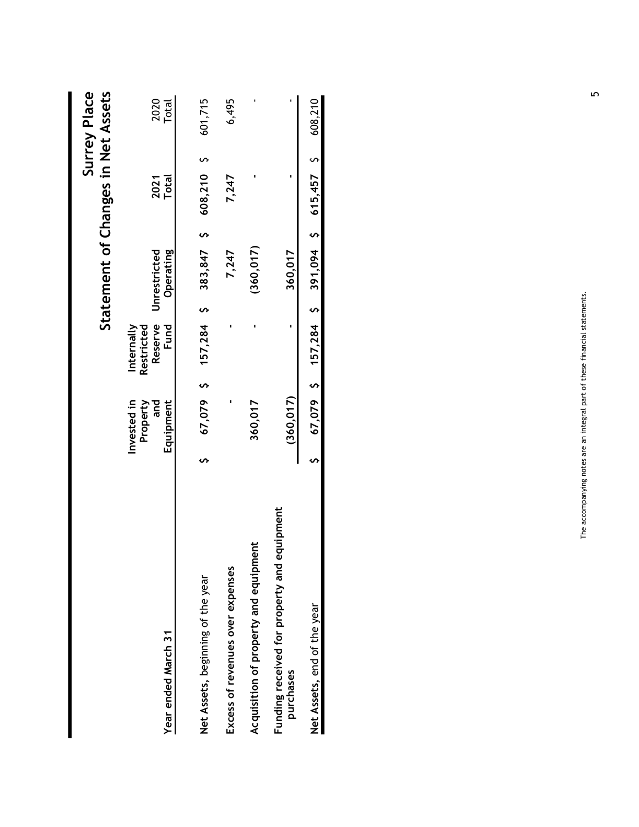| $\bullet$<br>(360, 017)<br>383,847<br>Unrestricted<br>Operating<br>7,247<br>$157,284$ \$<br>$\blacksquare$<br>Reserve<br>Fund<br>Internally<br>×<br>Restricted<br>67,079 \$<br>Invested in<br>360,017<br>Property<br>Equipment<br>×<br>and<br>S<br>Acquisition of property and equipment<br>Excess of revenues over expenses<br>Net Assets, beginning of the year<br>Year ended March 31 |  |                      | Statement of Changes in Net Assets |   |
|------------------------------------------------------------------------------------------------------------------------------------------------------------------------------------------------------------------------------------------------------------------------------------------------------------------------------------------------------------------------------------------|--|----------------------|------------------------------------|---|
|                                                                                                                                                                                                                                                                                                                                                                                          |  | <b>Total</b><br>2021 | Total<br>2020                      |   |
|                                                                                                                                                                                                                                                                                                                                                                                          |  | 608,210 \$           | 601,715                            |   |
|                                                                                                                                                                                                                                                                                                                                                                                          |  | 7,247                | 6,495                              |   |
|                                                                                                                                                                                                                                                                                                                                                                                          |  | ٠                    | $\blacksquare$                     |   |
| 360,017<br>$\mathbf{r}$<br>(360, 017)<br>equipment<br>Funding received for property and<br>purchases                                                                                                                                                                                                                                                                                     |  | $\blacksquare$       | ٠                                  |   |
| $\bullet$<br>391,094<br>S<br>157,284<br>$\bullet$<br>67,079<br>Ş<br>Net Assets, end of the year                                                                                                                                                                                                                                                                                          |  | 615,457              | 608,210<br>S                       |   |
|                                                                                                                                                                                                                                                                                                                                                                                          |  |                      |                                    |   |
| The accompanying notes are an integral part of these financial statements.                                                                                                                                                                                                                                                                                                               |  |                      |                                    | 5 |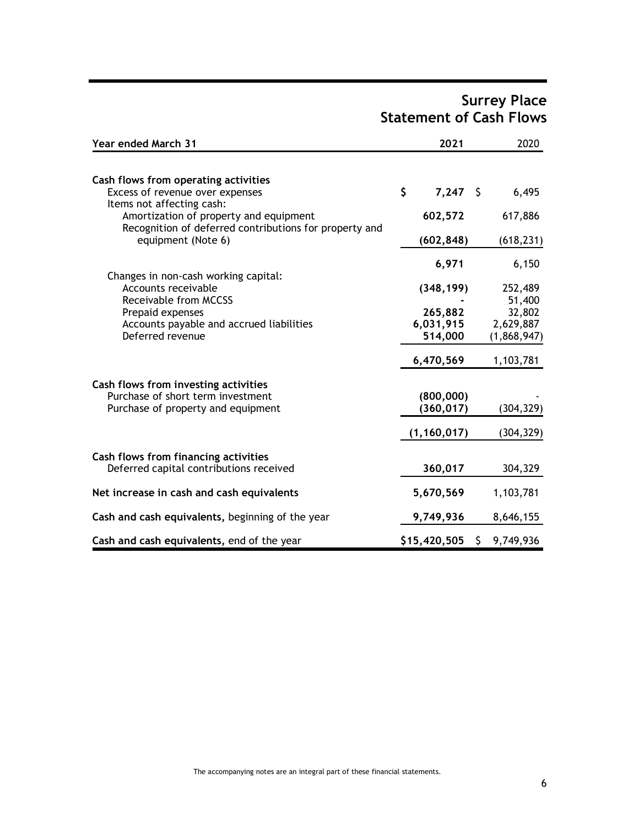# Surrey Place Statement of Cash Flows

| Year ended March 31                                                                                                           | 2021                 |   | 2020                     |
|-------------------------------------------------------------------------------------------------------------------------------|----------------------|---|--------------------------|
| Cash flows from operating activities                                                                                          |                      |   |                          |
| Excess of revenue over expenses                                                                                               | \$<br>$7,247$ \$     |   | 6,495                    |
| Items not affecting cash:<br>Amortization of property and equipment<br>Recognition of deferred contributions for property and | 602,572              |   | 617,886                  |
| equipment (Note 6)                                                                                                            | (602, 848)           |   | (618, 231)               |
|                                                                                                                               | 6,971                |   | 6,150                    |
| Changes in non-cash working capital:                                                                                          |                      |   |                          |
| Accounts receivable                                                                                                           | (348, 199)           |   | 252,489                  |
| Receivable from MCCSS                                                                                                         |                      |   | 51,400                   |
| Prepaid expenses                                                                                                              | 265,882              |   | 32,802                   |
| Accounts payable and accrued liabilities<br>Deferred revenue                                                                  | 6,031,915<br>514,000 |   | 2,629,887<br>(1,868,947) |
|                                                                                                                               |                      |   |                          |
|                                                                                                                               | 6,470,569            |   | 1,103,781                |
| Cash flows from investing activities                                                                                          |                      |   |                          |
| Purchase of short term investment                                                                                             | (800, 000)           |   |                          |
| Purchase of property and equipment                                                                                            | (360, 017)           |   | (304, 329)               |
|                                                                                                                               | (1, 160, 017)        |   | (304, 329)               |
| Cash flows from financing activities                                                                                          |                      |   |                          |
| Deferred capital contributions received                                                                                       | 360,017              |   | 304,329                  |
| Net increase in cash and cash equivalents                                                                                     | 5,670,569            |   | 1,103,781                |
| Cash and cash equivalents, beginning of the year                                                                              | 9,749,936            |   | 8,646,155                |
| Cash and cash equivalents, end of the year                                                                                    | \$15,420,505         | S | 9,749,936                |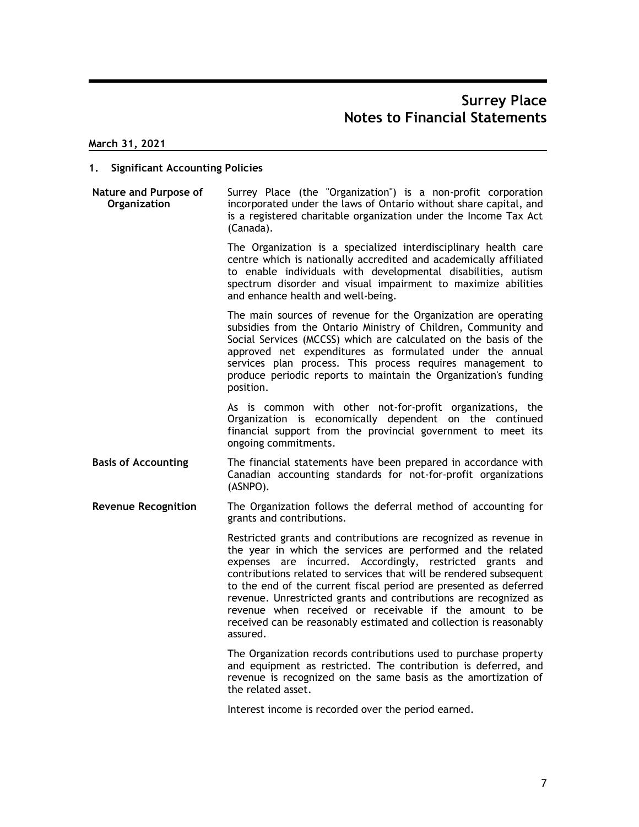March 31, 2021

#### 1. Significant Accounting Policies

Nature and Purpose of Organization incorporated under the laws of Ontario without share capital, and Surrey Place (the "Organization") is a non-profit corporation is a registered charitable organization under the Income Tax Act (Canada).

> The Organization is a specialized interdisciplinary health care centre which is nationally accredited and academically affiliated to enable individuals with developmental disabilities, autism spectrum disorder and visual impairment to maximize abilities and enhance health and well-being.

> The main sources of revenue for the Organization are operating subsidies from the Ontario Ministry of Children, Community and Social Services (MCCSS) which are calculated on the basis of the approved net expenditures as formulated under the annual services plan process. This process requires management to produce periodic reports to maintain the Organization's funding position.

> As is common with other not-for-profit organizations, the Organization is economically dependent on the continued financial support from the provincial government to meet its ongoing commitments.

- Basis of Accounting The financial statements have been prepared in accordance with Canadian accounting standards for not-for-profit organizations (ASNPO).
- Revenue Recognition The Organization follows the deferral method of accounting for grants and contributions.

Restricted grants and contributions are recognized as revenue in the year in which the services are performed and the related expenses are incurred. Accordingly, restricted grants and contributions related to services that will be rendered subsequent to the end of the current fiscal period are presented as deferred revenue. Unrestricted grants and contributions are recognized as revenue when received or receivable if the amount to be received can be reasonably estimated and collection is reasonably assured.

The Organization records contributions used to purchase property and equipment as restricted. The contribution is deferred, and revenue is recognized on the same basis as the amortization of the related asset.

Interest income is recorded over the period earned.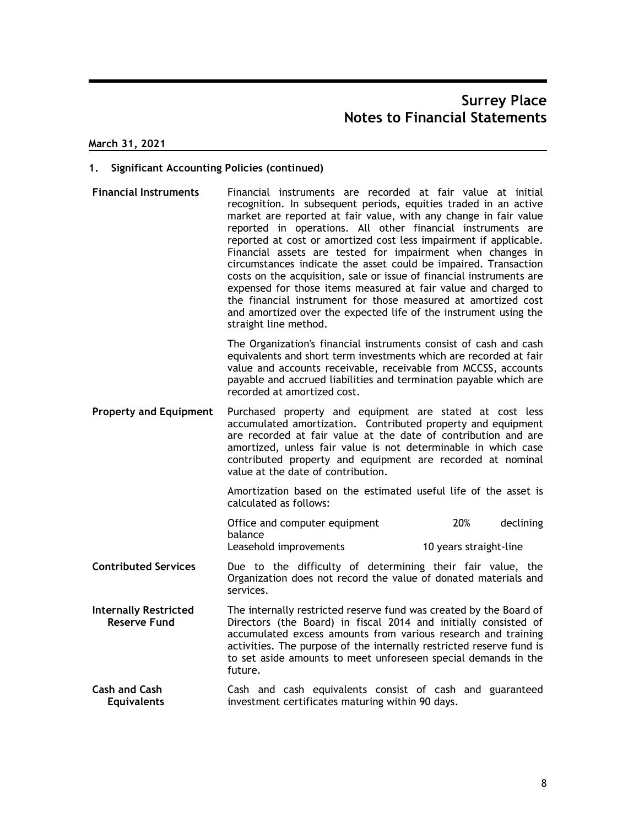March 31, 2021

### 1. Significant Accounting Policies (continued)

Financial Instruments Financial instruments are recorded at fair value at initial recognition. In subsequent periods, equities traded in an active market are reported at fair value, with any change in fair value reported in operations. All other financial instruments are reported at cost or amortized cost less impairment if applicable. Financial assets are tested for impairment when changes in circumstances indicate the asset could be impaired. Transaction costs on the acquisition, sale or issue of financial instruments are expensed for those items measured at fair value and charged to the financial instrument for those measured at amortized cost and amortized over the expected life of the instrument using the straight line method. Financial assests are tested for impairment when changes in<br>circumstances indicate the asset could be impaired. Transaction<br>costs on the acquisition, sale or issue of financial instruments are<br>expensed for those items meas

The Organization's financial instruments consist of cash and cash equivalents and short term investments which are recorded at fair value and accounts receivable, receivable from MCCSS, accounts payable and accrued liabilities and termination payable which are recorded at amortized cost.

Property and Equipment Purchased property and equipment are stated at cost less accumulated amortization. Contributed property and equipment are recorded at fair value at the date of contribution and are amortized, unless fair value is not determinable in which case contributed property and equipment are recorded at nominal value at the date of contribution. costs on the acquisition, sale or issue of financial instruments are<br>expensed for those items measured at fair value and charged to<br>the financial instrument for those measured at amortized cost<br>and amortized over the expec

Amortization based on the estimated useful life of the asset is calculated as follows:

| Office and computer equipment | 20%                    | declining |
|-------------------------------|------------------------|-----------|
| balance                       |                        |           |
| Leasehold improvements        | 10 years straight-line |           |

- Contributed Services Due to the difficulty of determining their fair value, the Organization does not record the value of donated materials and services.
- Internally Restricted The internally restricted reserve fund was created by the Board of Reserve Fund Directors (the Board) in fiscal 2014 and initially consisted of accumulated excess amounts from various research and training activities. The purpose of the internally restricted reserve fund is to set aside amounts to meet unforeseen special demands in the future.
- Cash and Cash Cash and cash equivalents consist of cash and guaranteed Equivalents investment certificates maturing within 90 days.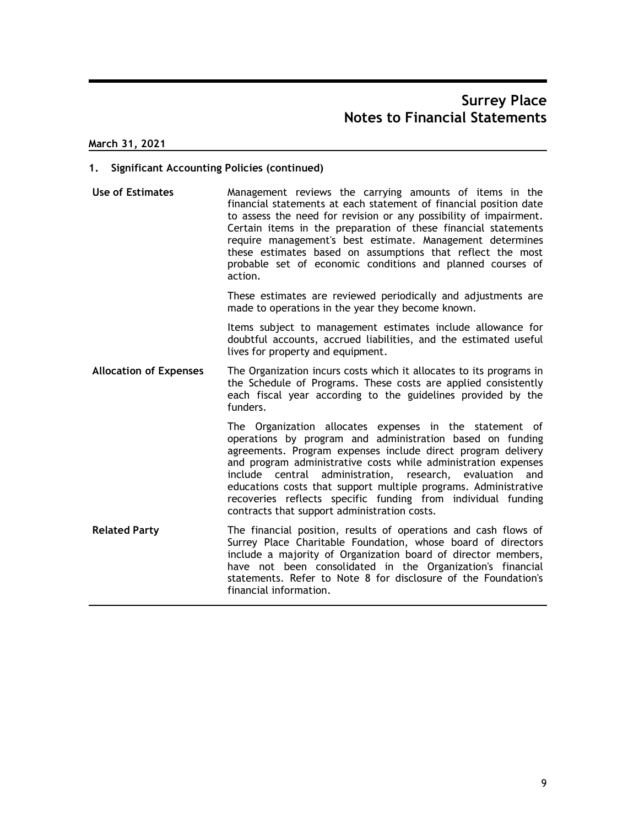March 31, 2021

### 1. Significant Accounting Policies (continued)

Use of Estimates Management reviews the carrying amounts of items in the financial statements at each statement of financial position date to assess the need for revision or any possibility of impairment. Certain items in the preparation of these financial statements require management's best estimate. Management determines these estimates based on assumptions that reflect the most probable set of economic conditions and planned courses of action.

These estimates are reviewed periodically and adjustments are made to operations in the year they become known.

Items subject to management estimates include allowance for doubtful accounts, accrued liabilities, and the estimated useful lives for property and equipment.

Allocation of Expenses The Organization incurs costs which it allocates to its programs in the Schedule of Programs. These costs are applied consistently each fiscal year according to the guidelines provided by the funders.

> The Organization allocates expenses in the statement of operations by program and administration based on funding agreements. Program expenses include direct program delivery and program administrative costs while administration expenses include central administration, research, evaluation and educations costs that support multiple programs. Administrative recoveries reflects specific funding from individual funding contracts that support administration costs.

Related Party The financial position, results of operations and cash flows of Surrey Place Charitable Foundation, whose board of directors include a majority of Organization board of director members, have not been consolidated in the Organization's financial statements. Refer to Note 8 for disclosure of the Foundation's financial information.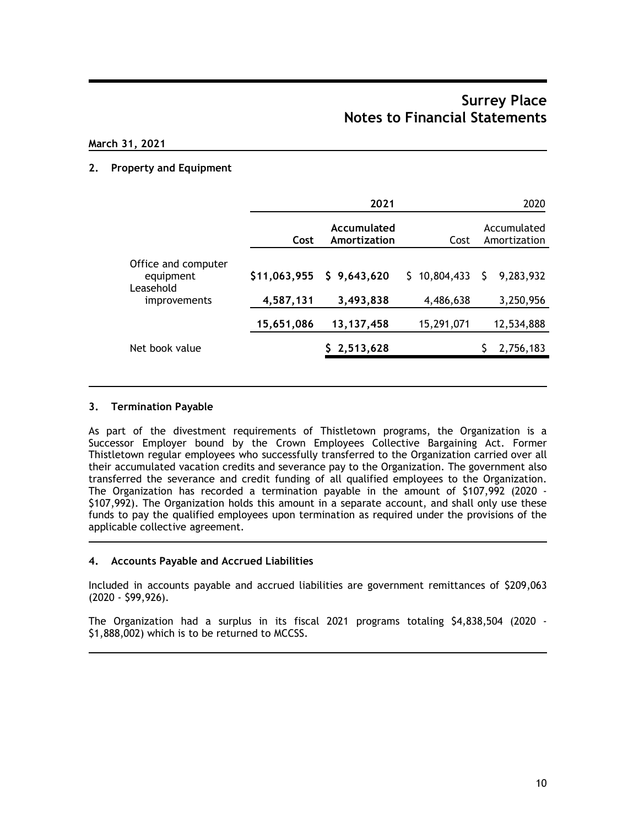### March 31, 2021

### 2. Property and Equipment

|                                               |              | 2021                        |              |    | 2020                        |
|-----------------------------------------------|--------------|-----------------------------|--------------|----|-----------------------------|
|                                               | Cost         | Accumulated<br>Amortization | Cost         |    | Accumulated<br>Amortization |
| Office and computer<br>equipment<br>Leasehold | \$11,063,955 | \$9,643,620                 | \$10,804,433 | S. | 9,283,932                   |
| improvements                                  | 4,587,131    | 3,493,838                   | 4,486,638    |    | 3,250,956                   |
|                                               | 15,651,086   | 13, 137, 458                | 15,291,071   |    | 12,534,888                  |
| Net book value                                |              | 2,513,628                   |              |    | 2,756,183                   |
|                                               |              |                             |              |    |                             |

#### 3. Termination Payable

As part of the divestment requirements of Thistletown programs, the Organization is a Successor Employer bound by the Crown Employees Collective Bargaining Act. Former Thistletown regular employees who successfully transferred to the Organization carried over all their accumulated vacation credits and severance pay to the Organization. The government also transferred the severance and credit funding of all qualified employees to the Organization. The Organization has recorded a termination payable in the amount of \$107,992 (2020 - \$107,992). The Organization holds this amount in a separate account, and shall only use these funds to pay the qualified employees upon termination as required under the provisions of the applicable collective agreement.

#### 4. Accounts Payable and Accrued Liabilities

Included in accounts payable and accrued liabilities are government remittances of \$209,063 (2020 - \$99,926).

The Organization had a surplus in its fiscal 2021 programs totaling \$4,838,504 (2020 - \$1,888,002) which is to be returned to MCCSS.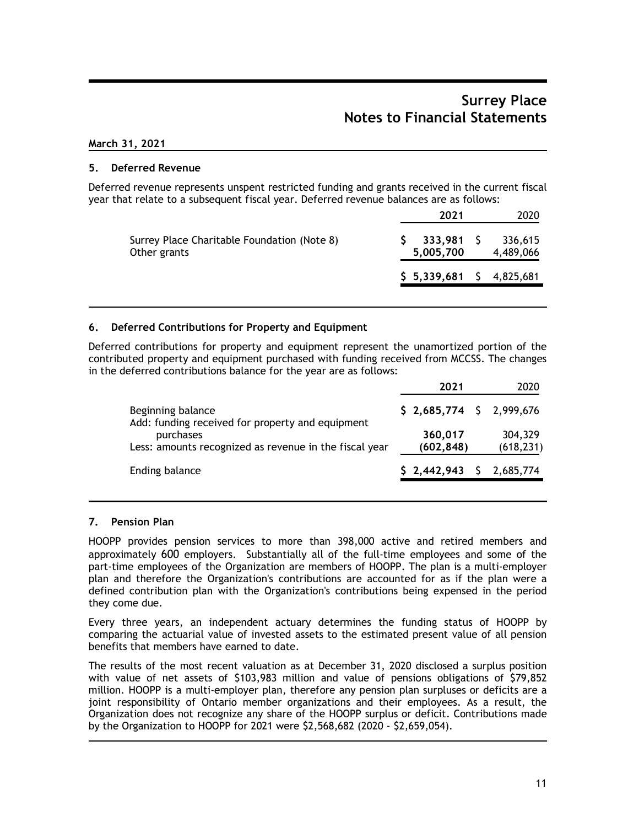### March 31, 2021

### 5. Deferred Revenue

Deferred revenue represents unspent restricted funding and grants received in the current fiscal year that relate to a subsequent fiscal year. Deferred revenue balances are as follows:

|                      | 2020                 |
|----------------------|----------------------|
| 333,981<br>5,005,700 | 336,615<br>4,489,066 |
| \$5,339,681          | - \$<br>4,825,681    |
|                      | 2021                 |

### 6. Deferred Contributions for Property and Equipment

Deferred contributions for property and equipment represent the unamortized portion of the contributed property and equipment purchased with funding received from MCCSS. The changes in the deferred contributions balance for the year are as follows:

|                                                                       | 2021                          | 2020                  |
|-----------------------------------------------------------------------|-------------------------------|-----------------------|
| Beginning balance<br>Add: funding received for property and equipment | $$2,685,774 \quad $2,999,676$ |                       |
| purchases<br>Less: amounts recognized as revenue in the fiscal year   | 360,017<br>(602, 848)         | 304,329<br>(618, 231) |
| Ending balance                                                        | \$2,442,943                   | 2,685,774             |

#### 7. Pension Plan

HOOPP provides pension services to more than 398,000 active and retired members and approximately 600 employers. Substantially all of the full-time employees and some of the part-time employees of the Organization are members of HOOPP. The plan is a multi-employer plan and therefore the Organization's contributions are accounted for as if the plan were a defined contribution plan with the Organization's contributions being expensed in the period they come due.

Every three years, an independent actuary determines the funding status of HOOPP by comparing the actuarial value of invested assets to the estimated present value of all pension benefits that members have earned to date.

The results of the most recent valuation as at December 31, 2020 disclosed a surplus position with value of net assets of \$103,983 million and value of pensions obligations of \$79,852 million. HOOPP is a multi-employer plan, therefore any pension plan surpluses or deficits are a joint responsibility of Ontario member organizations and their employees. As a result, the Organization does not recognize any share of the HOOPP surplus or deficit. Contributions made by the Organization to HOOPP for 2021 were \$2,568,682 (2020 - \$2,659,054).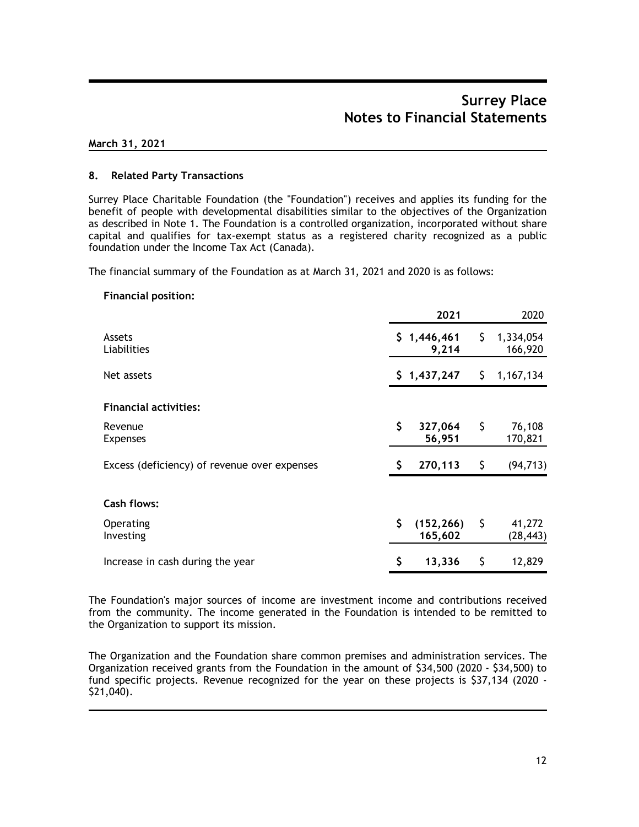#### March 31, 2021

### 8. Related Party Transactions

Surrey Place Charitable Foundation (the "Foundation") receives and applies its funding for the benefit of people with developmental disabilities similar to the objectives of the Organization as described in Note 1. The Foundation is a controlled organization, incorporated without share capital and qualifies for tax-exempt status as a registered charity recognized as a public foundation under the Income Tax Act (Canada).

The financial summary of the Foundation as at March 31, 2021 and 2020 is as follows:

#### Financial position:

|                                              |     | 2021                  |     | 2020                 |
|----------------------------------------------|-----|-----------------------|-----|----------------------|
| Assets<br>Liabilities                        |     | \$1,446,461<br>9,214  | \$. | 1,334,054<br>166,920 |
| Net assets                                   |     | \$1,437,247           | Ş.  | 1,167,134            |
| <b>Financial activities:</b>                 |     |                       |     |                      |
| Revenue<br><b>Expenses</b>                   | \$  | 327,064<br>56,951     | \$  | 76,108<br>170,821    |
| Excess (deficiency) of revenue over expenses | S   | 270,113               | \$  | (94, 713)            |
| <b>Cash flows:</b>                           |     |                       |     |                      |
| Operating<br>Investing                       | \$. | (152, 266)<br>165,602 | \$  | 41,272<br>(28, 443)  |
| Increase in cash during the year             | \$  | 13,336                | \$  | 12,829               |

The Foundation's major sources of income are investment income and contributions received from the community. The income generated in the Foundation is intended to be remitted to the Organization to support its mission.

The Organization and the Foundation share common premises and administration services. The Organization received grants from the Foundation in the amount of \$34,500 (2020 - \$34,500) to fund specific projects. Revenue recognized for the year on these projects is \$37,134 (2020 - \$21,040).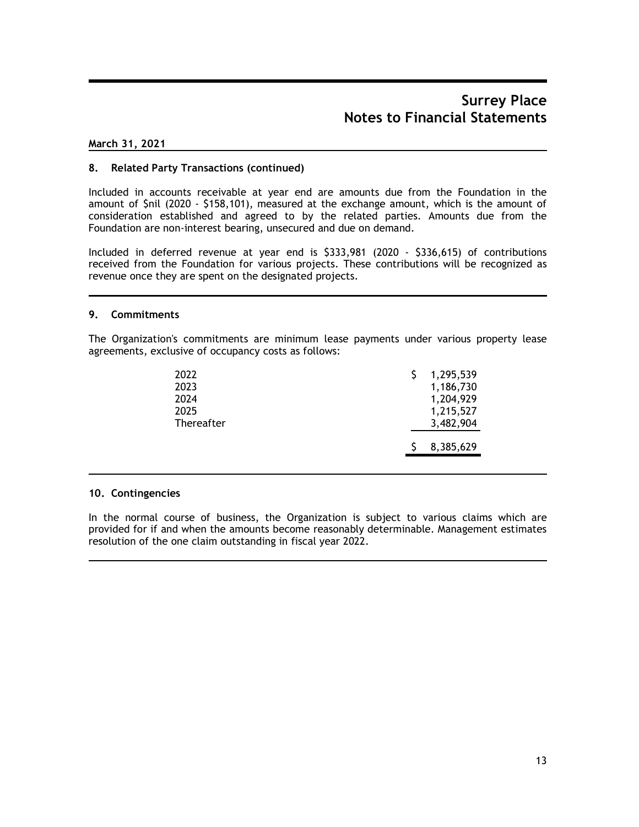### March 31, 2021

#### 8. Related Party Transactions (continued)

Included in accounts receivable at year end are amounts due from the Foundation in the amount of \$nil (2020 - \$158,101), measured at the exchange amount, which is the amount of consideration established and agreed to by the related parties. Amounts due from the Foundation are non-interest bearing, unsecured and due on demand.

Included in deferred revenue at year end is \$333,981 (2020 - \$336,615) of contributions received from the Foundation for various projects. These contributions will be recognized as revenue once they are spent on the designated projects.

#### 9. Commitments

The Organization's commitments are minimum lease payments under various property lease agreements, exclusive of occupancy costs as follows:

| 2022       | 1,295,539 |  |
|------------|-----------|--|
| 2023       | 1,186,730 |  |
| 2024       | 1,204,929 |  |
| 2025       | 1,215,527 |  |
| Thereafter | 3,482,904 |  |
|            | 8,385,629 |  |

#### 10. Contingencies

In the normal course of business, the Organization is subject to various claims which are provided for if and when the amounts become reasonably determinable. Management estimates resolution of the one claim outstanding in fiscal year 2022.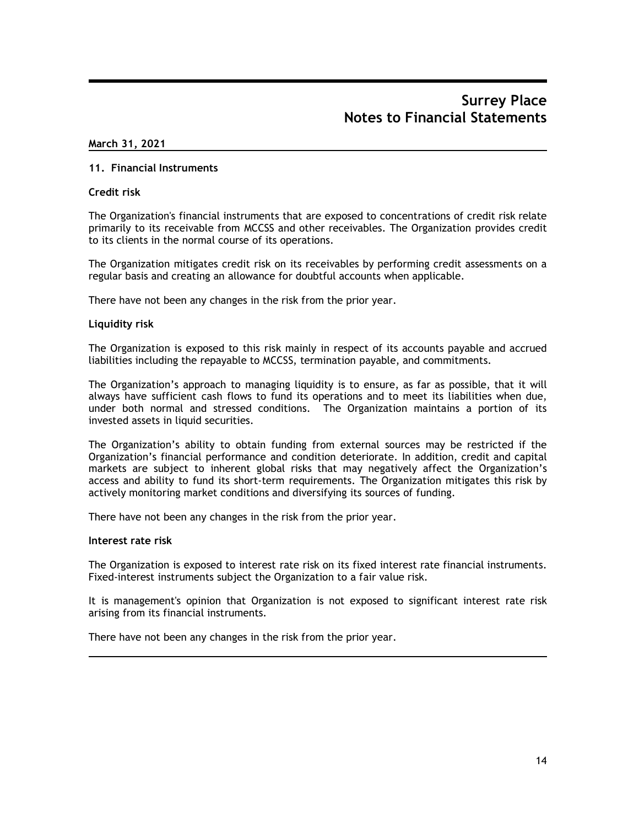#### March 31, 2021

#### 11. Financial Instruments

#### Credit risk

The Organization's financial instruments that are exposed to concentrations of credit risk relate primarily to its receivable from MCCSS and other receivables. The Organization provides credit to its clients in the normal course of its operations.

The Organization mitigates credit risk on its receivables by performing credit assessments on a regular basis and creating an allowance for doubtful accounts when applicable.

There have not been any changes in the risk from the prior year.

#### Liquidity risk

The Organization is exposed to this risk mainly in respect of its accounts payable and accrued liabilities including the repayable to MCCSS, termination payable, and commitments.

The Organization's approach to managing liquidity is to ensure, as far as possible, that it will always have sufficient cash flows to fund its operations and to meet its liabilities when due, under both normal and stressed conditions. The Organization maintains a portion of its invested assets in liquid securities.

The Organization's ability to obtain funding from external sources may be restricted if the Organization's financial performance and condition deteriorate. In addition, credit and capital markets are subject to inherent global risks that may negatively affect the Organization's access and ability to fund its short-term requirements. The Organization mitigates this risk by actively monitoring market conditions and diversifying its sources of funding.

There have not been any changes in the risk from the prior year.

#### Interest rate risk

The Organization is exposed to interest rate risk on its fixed interest rate financial instruments. Fixed-interest instruments subject the Organization to a fair value risk.

It is management's opinion that Organization is not exposed to significant interest rate risk arising from its financial instruments.

There have not been any changes in the risk from the prior year.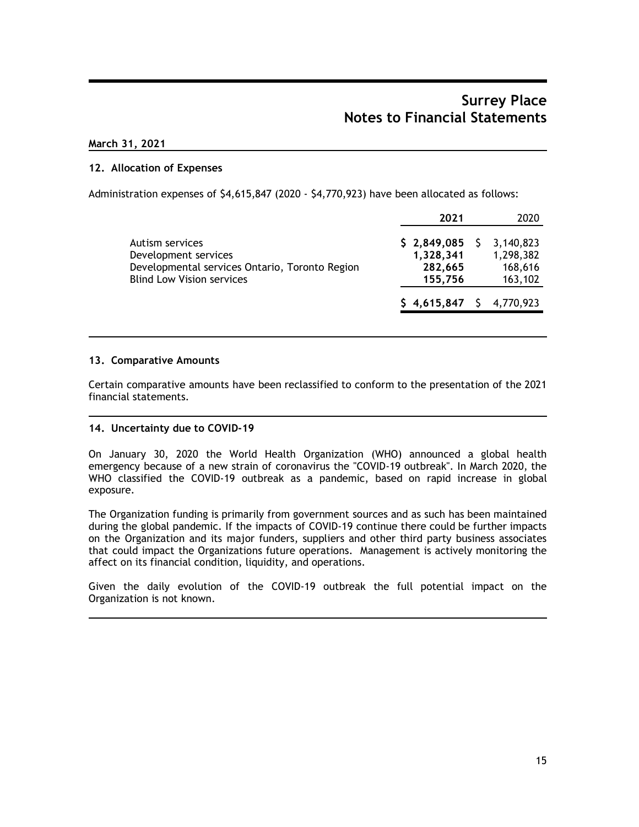### March 31, 2021

### 12. Allocation of Expenses

Administration expenses of \$4,615,847 (2020 - \$4,770,923) have been allocated as follows:

| 2021        | 2020            |
|-------------|-----------------|
|             | 3,140,823       |
| 1,328,341   | 1,298,382       |
| 282,665     | 168,616         |
| 155,756     | 163,102         |
| \$4,615,847 | 4,770,923       |
|             | $$2,849,085$ \$ |

#### 13. Comparative Amounts

Certain comparative amounts have been reclassified to conform to the presentation of the 2021 financial statements.

### 14. Uncertainty due to COVID-19

On January 30, 2020 the World Health Organization (WHO) announced a global health emergency because of a new strain of coronavirus the "COVID-19 outbreak". In March 2020, the WHO classified the COVID-19 outbreak as a pandemic, based on rapid increase in global exposure.

The Organization funding is primarily from government sources and as such has been maintained during the global pandemic. If the impacts of COVID-19 continue there could be further impacts on the Organization and its major funders, suppliers and other third party business associates that could impact the Organizations future operations. Management is actively monitoring the affect on its financial condition, liquidity, and operations.

Given the daily evolution of the COVID-19 outbreak the full potential impact on the Organization is not known.